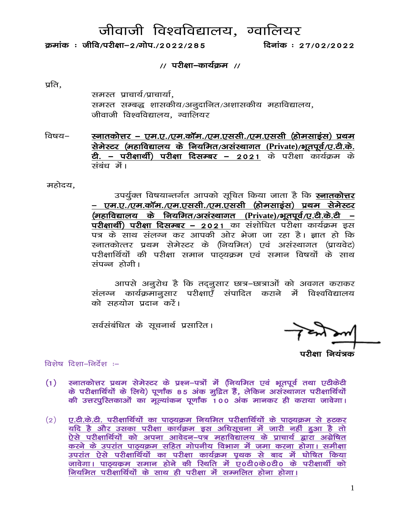# जीवाजी विश्वविद्यालय, ग्वालियर

क्रमांक: जीवि/परीक्षा-2/गोप./2022/285

दिनांक: 27/02/2022

#### // परीक्षा-कार्यकम //

प्रति,

समस्त प्राचार्य/प्राचार्या, समस्त सम्बद्ध शासकीय/अनुदानित/अशासकीय महाविद्यालय, जीवाजी विश्वविद्यालय, ग्वालियर

स्नातकोत्तर – एम.ए./एम.कॉम./एम.एससी./एम.एससी (होमसाइंस) प्रथम विषय– सेमेस्टर (महाविद्यालय के नियमित/असंस्थागत (Private)/भूतपूर्व/ए.टी.के. <u>ते. – परीक्षार्थी) परीक्षा दिसम्बर – 2021 के परीक्षा कार्यक्रम के </u> ਜ਼ਰੰਬ ਜੇਂ।

महोदय.

उपर्युक्त विषयान्तर्गत आपको सूचित किया जाता है कि **स्नातकोत्तर** – एम.ए./एम.कॉम./एम.एससी./एम.एससी (होमसाइंस) प्रथम सेमेस्टर (महाविद्यालय के नियमित/असंस्थागत (Private)/भूतपूर्व/ए.टी.के.टी – परीक्षार्थी) परीक्षा दिसम्बर - 2021 का संशोधित परीक्षा कार्यक्रम इस स्नातकोत्तर प्रथम सेमेस्टर के (नियमित) एवं असंस्थागत (प्रायवेट) परीक्षार्थियों की परीक्षा समान पाठ्यक्रम एवं समान विषयों के साथ संपन्न होगी।

आपसे अनूरोध है कि तद़नूसार छात्र–छात्राओं को अवगत कराकर संलग्न कार्यक्रमानुसार परीक्षाएँ संपादित कराने में विश्वविद्यालय को सहयोग प्रदान करें।

सर्वसंबंधित के सूचनार्थ प्रसारित।

विशेष दिशा–निर्देश :–

- स्नातकोत्तर प्रथम सेमेस्टर के प्रश्न-पत्रों में (नियमित एवं भूतपूर्व तथा एटीकेटी  $(1)$ के परीक्षार्थियों के लिये) पूर्णांक 85 अंक मुद्रित हैं, लेकिन असंस्थागत परीक्षार्थियों की उत्तरपुस्तिकाओं का मूल्यांकन पूर्णांक 100 अंक मानकर ही कराया जावेगा।
- ए.टी.के.टी. परीक्षार्थियों का पाठ्यक्रम नियमित परीक्षार्थियों के पाठ्यक्रम से हटकर  $(2)$ यदि है और उसका परीक्षा कार्यक्रम इस अधिसूचना में जारी नहीं हुआ है तो ऐसे परीक्षार्थियों को अपना आवेदन–पत्र महाविद्यालय के प्राचार्य द्वारा अग्रेषित करने के उपरांत पाठ्यक्रम सहित गोपनीय विभाग में जमा करना होगा। समीक्षा जावेगा। पाठ्यक्रम समान होने की स्थिति में ए०टी०के०टी० के परीक्षार्थी को नियमित परीक्षार्थियों के साथ ही परीक्षा में सम्मलित होना होगा।

 $\mathbf{1}$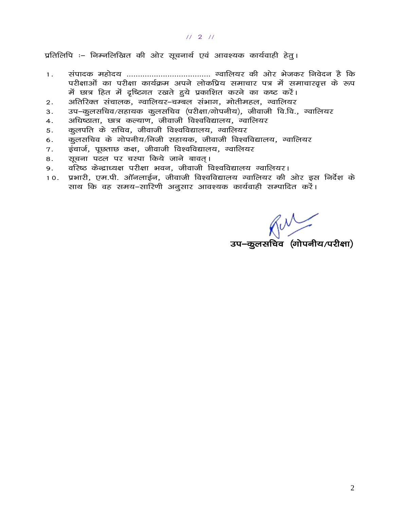#### $1121$

प्रतिलिपि :– निम्नलिखित की ओर सूचनार्थ एवं आवश्यक कार्यवाही हेतु।

- $1.$ परीक्षाओं का परीक्षा कार्यक्रम अपने लोकप्रिय समाचार पत्र में समाचारवृत्त के रूप में छात्र हित में दृष्टिगत रखते हुये प्रकाशित करने का कष्ट करें।
- अतिरिक्त संचालक, ग्वालियर–चम्बल संभाग, मोतीमहल, ग्वालियर  $\overline{2}$ .
- उप–कूलसचिव/सहायक कूलसचिव (परीक्षा/गोपनीय), जीवाजी वि.वि., ग्वालियर  $3<sub>1</sub>$
- अधिष्ठाता, छात्र कल्याण, जीवाजी विश्वविद्यालय, ग्वालियर 4.
- कूलपति के सचिव, जीवाजी विश्वविद्यालय, ग्वालियर  $5.$
- कुलसचिव के गोपनीय/निजी सहायक, जीवाजी विश्वविद्यालय, ग्वालियर 6.
- इंचार्ज, पूछताछ कक्ष, जीवाजी विश्वविद्यालय, ग्वालियर  $7.$
- सूचना पटल पर चस्पा किये जाने बावत्। 8.
- वरिष्ठ केन्द्राध्यक्ष परीक्षा भवन, जीवाजी विश्वविद्यालय ग्वालियर। 9.
- प्रभारी, एम.पी. ऑनलाईन, जीवाजी विश्वविद्यालय ग्वालियर की ओर इस निर्देश के  $10.$ साथ कि वह समय-सारिणी अनुसार आवश्यक कार्यवाही सम्पादित करें।

 $\overbrace{ \text{grad}(\text{grad}(\text{grad})}^{\text{max}}$ उप–कुलसचिव $\overbrace{ \text{grad}(\text{grad}(\text{grad})}^{\text{max}})$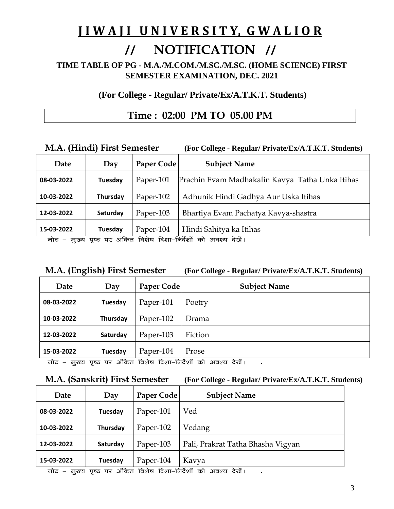# **J I W A J I U N I V E R S I T Y, G W A L I O R**

# // **NOTIFICATION** //

**TIME TABLE OF PG - M.A./M.COM./M.SC./M.SC. (HOME SCIENCE) FIRST SEMESTER EXAMINATION, DEC. 2021**

**(For College - Regular/ Private/Ex/A.T.K.T. Students)**

# **Time : 02:00 PM TO 05.00 PM**

### **M.A. (Hindi) First Semester (For College - Regular/ Private/Ex/A.T.K.T. Students)**

| Date                        | Day      | Paper Code | <b>Subject Name</b>                                                                                                                                                                                                                                                                                                                               |
|-----------------------------|----------|------------|---------------------------------------------------------------------------------------------------------------------------------------------------------------------------------------------------------------------------------------------------------------------------------------------------------------------------------------------------|
| 08-03-2022                  | Tuesday  | Paper-101  | Prachin Evam Madhakalin Kavya Tatha Unka Itihas                                                                                                                                                                                                                                                                                                   |
| 10-03-2022                  | Thursday | Paper-102  | Adhunik Hindi Gadhya Aur Uska Itihas                                                                                                                                                                                                                                                                                                              |
| 12-03-2022                  | Saturday | Paper-103  | Bhartiya Evam Pachatya Kavya-shastra                                                                                                                                                                                                                                                                                                              |
| 15-03-2022<br>$\rightarrow$ | Tuesday  | Paper-104  | Hindi Sahitya ka Itihas<br>$\frac{1}{2}$ and $\frac{1}{2}$ $\frac{1}{2}$ $\frac{1}{2}$ $\frac{1}{2}$ $\frac{1}{2}$ $\frac{1}{2}$ $\frac{1}{2}$ $\frac{1}{2}$ $\frac{1}{2}$ $\frac{1}{2}$ $\frac{1}{2}$ $\frac{1}{2}$ $\frac{1}{2}$ $\frac{1}{2}$ $\frac{1}{2}$ $\frac{1}{2}$ $\frac{1}{2}$ $\frac{1}{2}$ $\frac{1}{2}$ $\frac{1}{2}$ $\frac{1}{2$ |

नोट – मुख्य पृष्ठ पर अंकित विशेष दिशा–निर्देशों को अवश्य देखें।

## **M.A. (English) First Semester (For College - Regular/ Private/Ex/A.T.K.T. Students)**

| Date       | Day               | Paper Code                        | <b>Subject Name</b>                |
|------------|-------------------|-----------------------------------|------------------------------------|
| 08-03-2022 | Tuesday           | Paper-101                         | Poetry                             |
| 10-03-2022 | Thursday          | Paper-102                         | Drama                              |
| 12-03-2022 | Saturday          | Paper-103                         | Fiction                            |
| 15-03-2022 | Tuesday<br>$\sim$ | Paper-104<br>$\sim$ $\sim$ $\sim$ | Prose<br>$\sim$ $\sim$ $\sim$<br>. |

uksV & eq[; i`"B ij vafdr fo'ks"k fn'kk&funsZ'kksa dks vo'; ns[ksaA **.**

## **M.A. (Sanskrit) First Semester (For College - Regular/ Private/Ex/A.T.K.T. Students)**

| Date       | Day      | Paper Code | <b>Subject Name</b>               |
|------------|----------|------------|-----------------------------------|
| 08-03-2022 | Tuesday  | Paper-101  | Ved                               |
| 10-03-2022 | Thursday | Paper-102  | Vedang                            |
| 12-03-2022 | Saturday | Paper-103  | Pali, Prakrat Tatha Bhasha Vigyan |
| 15-03-2022 | Tuesday  | Paper-104  | Kavya                             |

नोट – मुख्य पृष्ठ पर अंकित विशेष दिशा–निर्देशों को अवश्य देखें।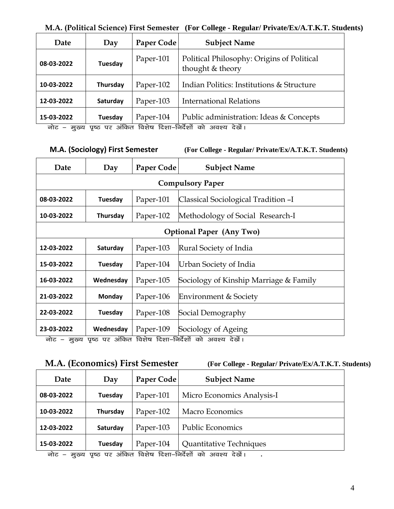### **M.A. (Political Science) First Semester (For College - Regular/ Private/Ex/A.T.K.T. Students)**

| Date                                                    | Day      | Paper Code | <b>Subject Name</b>                                                                                                                                                                                                                                                                                                                                               |
|---------------------------------------------------------|----------|------------|-------------------------------------------------------------------------------------------------------------------------------------------------------------------------------------------------------------------------------------------------------------------------------------------------------------------------------------------------------------------|
| 08-03-2022                                              | Tuesday  | Paper-101  | Political Philosophy: Origins of Political<br>thought & theory                                                                                                                                                                                                                                                                                                    |
| 10-03-2022                                              | Thursday | Paper-102  | Indian Politics: Institutions & Structure                                                                                                                                                                                                                                                                                                                         |
| 12-03-2022                                              | Saturday | Paper-103  | <b>International Relations</b>                                                                                                                                                                                                                                                                                                                                    |
| 15-03-2022<br>$\rightarrow$<br>$\overline{\phantom{a}}$ | Tuesday  | Paper-104  | Public administration: Ideas & Concepts<br>$\frac{1}{2}$ and $\frac{1}{2}$ $\frac{1}{2}$ $\frac{1}{2}$ $\frac{1}{2}$ $\frac{1}{2}$ $\frac{1}{2}$ $\frac{1}{2}$ $\frac{1}{2}$ $\frac{1}{2}$ $\frac{1}{2}$ $\frac{1}{2}$ $\frac{1}{2}$ $\frac{1}{2}$ $\frac{1}{2}$ $\frac{1}{2}$ $\frac{1}{2}$ $\frac{1}{2}$ $\frac{1}{2}$ $\frac{1}{2}$ $\frac{1}{2}$ $\frac{1}{2$ |

नोट – मुख्य पृष्ठ पर अंकित विशेष दिशा–निर्देशों को अवश्य देखें।

 **M.A. (Sociology) First Semester (For College - Regular/ Private/Ex/A.T.K.T. Students)**

| Date                            | Day             | Paper Code | <b>Subject Name</b>                    |  |
|---------------------------------|-----------------|------------|----------------------------------------|--|
|                                 |                 |            | <b>Compulsory Paper</b>                |  |
| 08-03-2022                      | Tuesday         | Paper-101  | Classical Sociological Tradition -I    |  |
| 10-03-2022                      | <b>Thursday</b> | Paper-102  | Methodology of Social Research-I       |  |
| <b>Optional Paper (Any Two)</b> |                 |            |                                        |  |
| 12-03-2022                      | Saturday        | Paper-103  | Rural Society of India                 |  |
| 15-03-2022                      | Tuesday         | Paper-104  | Urban Society of India                 |  |
| 16-03-2022                      | Wednesday       | Paper-105  | Sociology of Kinship Marriage & Family |  |
| 21-03-2022                      | <b>Monday</b>   | Paper-106  | Environment & Society                  |  |
| 22-03-2022                      | Tuesday         | Paper-108  | Social Demography                      |  |
| 23-03-2022                      | Wednesday       | Paper-109  | Sociology of Ageing                    |  |

नोट – मुख्य पृष्ठ पर अंकित विशेष दिशा–निर्देशों को अवश्य देखें।

**M.A. (Economics) First Semester (For College - Regular/ Private/Ex/A.T.K.T. Students)**

| Date       | Day      | Paper Code | <b>Subject Name</b>        |
|------------|----------|------------|----------------------------|
| 08-03-2022 | Tuesday  | Paper-101  | Micro Economics Analysis-I |
| 10-03-2022 | Thursday | Paper-102  | Macro Economics            |
| 12-03-2022 | Saturday | Paper-103  | <b>Public Economics</b>    |
| 15-03-2022 | Tuesday  | Paper-104  | Quantitative Techniques    |

uksV & eq[; i`"B ij vafdr fo'ks"k fn'kk&funsZ'kksa dks vo'; ns[ksaA **.**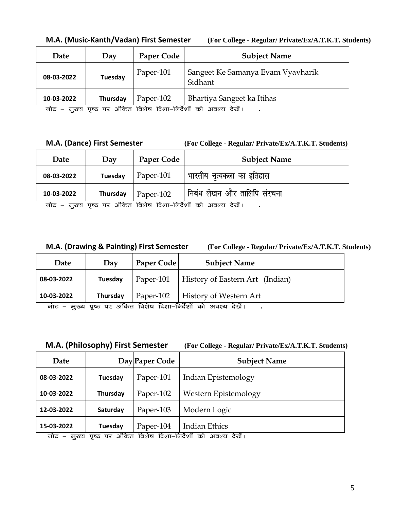| Date       | Day                | Paper Code                                                   | <b>Subject Name</b>                          |
|------------|--------------------|--------------------------------------------------------------|----------------------------------------------|
| 08-03-2022 | <b>Tuesday</b>     | Paper-101                                                    | Sangeet Ke Samanya Evam Vyavharik<br>Sidhant |
| 10-03-2022 | Thursday<br>$\sim$ | Paper-102<br>$\sim$ $\sim$ $\sim$<br>$\sim$ $\sim$<br>$\sim$ | Bhartiya Sangeet ka Itihas                   |

**M.A. (Music-Kanth/Vadan) First Semester (For College - Regular/ Private/Ex/A.T.K.T. Students)**

नोट – मुख्य पृष्ठ पर अंकित विशेष दिशा–निर्देशों को अवश्य देखें।

**M.A. (Dance) First Semester (For College - Regular/ Private/Ex/A.T.K.T. Students)**

| Date                                                               | Day      | Paper Code | <b>Subject Name</b>         |
|--------------------------------------------------------------------|----------|------------|-----------------------------|
| 08-03-2022                                                         | Tuesday  | Paper-101  | भारतीय नृत्यकला का इतिहास   |
| 10-03-2022                                                         | Thursday | Paper-102  | निबंध लेखन और तालिपि संरचना |
| पृष्ठ पर अंकित विशेष दिशा-निर्देशों को अवश्य देखें।<br>नोट – मुख्य |          |            |                             |

**M.A. (Drawing & Painting) First Semester (For College - Regular/ Private/Ex/A.T.K.T. Students)**

| Date       | Day      | Paper Code | <b>Subject Name</b>                |
|------------|----------|------------|------------------------------------|
| 08-03-2022 | Tuesday  | Paper-101  | History of Eastern Art (Indian)    |
| 10-03-2022 | Thursday | Paper-102  | History of Western Art<br>$\gamma$ |

नोट – मुख्य पृष्ठ पर अंकित विशेष दिशा–निर्देशों को अवश्य देखें। **.** 

**M.A. (Philosophy) First Semester (For College - Regular/ Private/Ex/A.T.K.T. Students)**

| Date       |                   | Day Paper Code             | <b>Subject Name</b>  |
|------------|-------------------|----------------------------|----------------------|
| 08-03-2022 | Tuesday           | Paper-101                  | Indian Epistemology  |
| 10-03-2022 | Thursday          | Paper-102                  | Western Epistemology |
| 12-03-2022 | Saturday          | Paper-103                  | Modern Logic         |
| 15-03-2022 | Tuesday<br>$\sim$ | Paper-104<br>$\sim$ $\sim$ | <b>Indian Ethics</b> |

<u>नोट – मुख्य पृष्ठ पर अंकित विशेष दिशा–निर्देशों को अवश्य देखें।</u>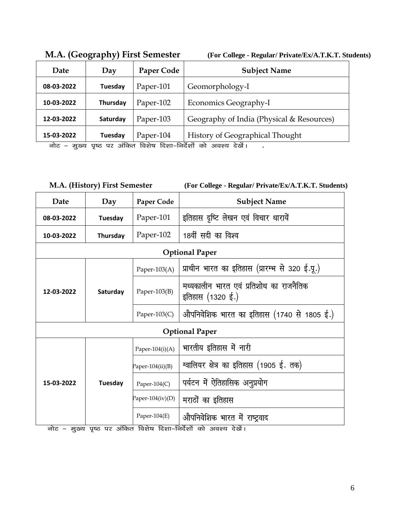| Date       | Day      | Paper Code | <b>Subject Name</b>                                                                                                                                                                                                                                                                                                                                           |
|------------|----------|------------|---------------------------------------------------------------------------------------------------------------------------------------------------------------------------------------------------------------------------------------------------------------------------------------------------------------------------------------------------------------|
| 08-03-2022 | Tuesday  | Paper-101  | Geomorphology-I                                                                                                                                                                                                                                                                                                                                               |
| 10-03-2022 | Thursday | Paper-102  | Economics Geography-I                                                                                                                                                                                                                                                                                                                                         |
| 12-03-2022 | Saturday | Paper-103  | Geography of India (Physical & Resources)                                                                                                                                                                                                                                                                                                                     |
| 15-03-2022 | Tuesday  | Paper-104  | <b>History of Geographical Thought</b><br>$\frac{1}{2}$ $\frac{1}{2}$ $\frac{1}{2}$ $\frac{1}{2}$ $\frac{1}{2}$ $\frac{1}{2}$ $\frac{1}{2}$ $\frac{1}{2}$ $\frac{1}{2}$ $\frac{1}{2}$ $\frac{1}{2}$ $\frac{1}{2}$ $\frac{1}{2}$ $\frac{1}{2}$ $\frac{1}{2}$ $\frac{1}{2}$ $\frac{1}{2}$ $\frac{1}{2}$ $\frac{1}{2}$ $\frac{1}{2}$ $\frac{1}{2}$ $\frac{1}{2}$ |

**M.A. (Geography) First Semester (For College - Regular/ Private/Ex/A.T.K.T. Students)**

नोट – मुख्य पृष्ठ पर अंकित विशेष दिशा–निर्देशों को अवश्य देखें। **.** 

 **M.A. (History) First Semester (For College - Regular/ Private/Ex/A.T.K.T. Students)**

| Date                        | Day      | Paper Code          | <b>Subject Name</b>                                         |  |  |
|-----------------------------|----------|---------------------|-------------------------------------------------------------|--|--|
| 08-03-2022                  | Tuesday  | Paper-101           | इतिहास दृष्टि लेखन एवं विचार धारायें                        |  |  |
| 10-03-2022                  | Thursday | Paper-102           | 18वीं सदी का विश्व                                          |  |  |
|                             |          |                     | <b>Optional Paper</b>                                       |  |  |
|                             |          | Paper-103 $(A)$     | प्राचीन भारत का इतिहास (प्रारम्भ से 320 ई.पू.)              |  |  |
| 12-03-2022                  | Saturday | Paper- $103(B)$     | मध्यकालीन भारत एवं प्रतिशोध का राजनैतिक<br>इतिहास (1320 ई.) |  |  |
|                             |          | Paper-103 $(C)$     | औपनिवेशिक भारत का इतिहास (1740 से 1805 ई.)                  |  |  |
| <b>Optional Paper</b>       |          |                     |                                                             |  |  |
|                             |          | Paper-104 $(i)(A)$  | भारतीय इतिहास में नारी                                      |  |  |
|                             |          | Paper-104 $(ii)(B)$ | ग्वालियर क्षेत्र का इतिहास (1905 ई. तक)                     |  |  |
| 15-03-2022<br>$\rightarrow$ | Tuesday  | Paper-104 $(C)$     | पर्यटन में ऐतिहासिक अनुप्रयोग                               |  |  |
|                             |          | Paper-104(iv)(D)    | मराठों का इतिहास                                            |  |  |
|                             |          | Paper-104 $(E)$     | औपनिवेशिक भारत में राष्ट्रवाद<br>$\frac{1}{1}$              |  |  |

नोट – मुख्य पृष्ठ पर अंकित विशेष दिशा–निर्देशों को अवश्य देखें।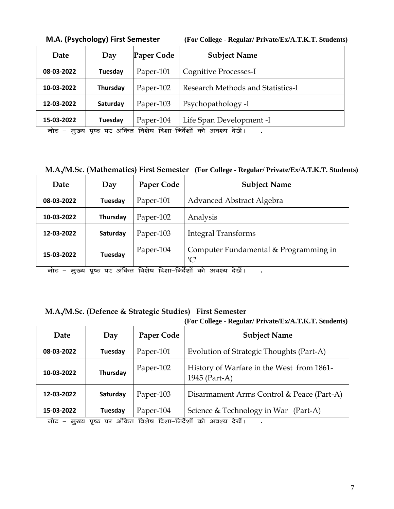| Date       | Day      | Paper Code | <b>Subject Name</b>               |
|------------|----------|------------|-----------------------------------|
| 08-03-2022 | Tuesday  | Paper-101  | Cognitive Processes-I             |
| 10-03-2022 | Thursday | Paper-102  | Research Methods and Statistics-I |
| 12-03-2022 | Saturday | Paper-103  | Psychopathology -I                |
| 15-03-2022 | Tuesday  | Paper-104  | Life Span Development -I          |

**M.A. (Psychology) First Semester (For College - Regular/ Private/Ex/A.T.K.T. Students)**

aic – मुख्य पृष्ठ पर अंकित विशेष दिशा–निर्देशों को अवश्य देखें। **.** 

**M.A./M.Sc. (Mathematics) First Semester (For College - Regular/ Private/Ex/A.T.K.T. Students)**

| Date       | Day            | Paper Code | <b>Subject Name</b>                          |
|------------|----------------|------------|----------------------------------------------|
| 08-03-2022 | Tuesday        | Paper-101  | Advanced Abstract Algebra                    |
| 10-03-2022 | Thursday       | Paper-102  | Analysis                                     |
| 12-03-2022 | Saturday       | Paper-103  | <b>Integral Transforms</b>                   |
| 15-03-2022 | <b>Tuesday</b> | Paper-104  | Computer Fundamental & Programming in<br>'C' |

<u>नोट – मुख्य पृष्ठ पर अंकित विशेष दिशा-निर्देशों को अवश्य देखें।</u>

### **M.A./M.Sc. (Defence & Strategic Studies) First Semester**

#### **(For College - Regular/ Private/Ex/A.T.K.T. Students)**

| Date                        | Day             | Paper Code | <b>Subject Name</b>                                                                                                                                                                                                                                                                                                                               |
|-----------------------------|-----------------|------------|---------------------------------------------------------------------------------------------------------------------------------------------------------------------------------------------------------------------------------------------------------------------------------------------------------------------------------------------------|
| 08-03-2022                  | Tuesday         | Paper-101  | Evolution of Strategic Thoughts (Part-A)                                                                                                                                                                                                                                                                                                          |
| 10-03-2022                  | <b>Thursday</b> | Paper-102  | History of Warfare in the West from 1861-<br>1945 (Part-A)                                                                                                                                                                                                                                                                                        |
| 12-03-2022                  | Saturday        | Paper-103  | Disarmament Arms Control & Peace (Part-A)                                                                                                                                                                                                                                                                                                         |
| 15-03-2022<br>$\rightarrow$ | Tuesday         | Paper-104  | Science & Technology in War (Part-A)<br>$\frac{1}{100}$ $\frac{1}{100}$ $\frac{1}{100}$ $\frac{1}{100}$ $\frac{1}{100}$ $\frac{1}{100}$ $\frac{1}{100}$ $\frac{1}{100}$ $\frac{1}{100}$ $\frac{1}{100}$ $\frac{1}{100}$ $\frac{1}{100}$ $\frac{1}{100}$ $\frac{1}{100}$ $\frac{1}{100}$ $\frac{1}{100}$ $\frac{1}{100}$ $\frac{1}{100}$ $\frac{1$ |

aic – मुख्य पृष्ठ पर अंकित विशेष दिशा–निर्देशों को अवश्य देखें। **.**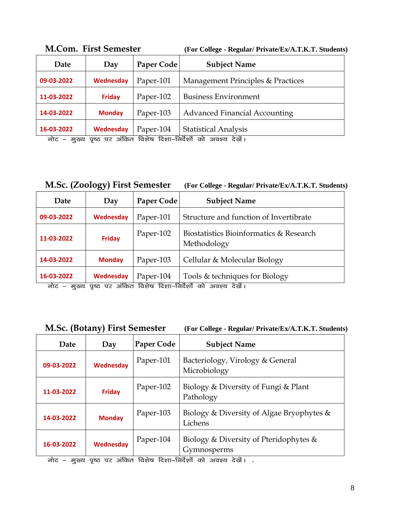| Date                                                                    | Day           | Paper Code | <b>Subject Name</b>                  |
|-------------------------------------------------------------------------|---------------|------------|--------------------------------------|
| 09-03-2022                                                              | Wednesday     | Paper-101  | Management Principles & Practices    |
| 11-03-2022                                                              | <b>Friday</b> | Paper-102  | <b>Business Environment</b>          |
| 14-03-2022                                                              | <b>Monday</b> | Paper-103  | <b>Advanced Financial Accounting</b> |
| 16-03-2022                                                              | Wednesday     | Paper-104  | <b>Statistical Analysis</b>          |
| पृष्ठ पर अंकित विशेष दिशा–निर्देशों को<br>नोट –<br>अवश्य देखें।<br>मख्य |               |            |                                      |

**M.Com. First Semester (For College - Regular/ Private/Ex/A.T.K.T. Students)**

| <b>M.Sc. (Zoology) First Semester</b> | (For College - Regular/ Private/Ex/A.T.K.T. Students) |
|---------------------------------------|-------------------------------------------------------|
|                                       |                                                       |

| Date                        | Day           | Paper Code | <b>Subject Name</b>                                                                                                                                                                                                                                                                                                                                      |
|-----------------------------|---------------|------------|----------------------------------------------------------------------------------------------------------------------------------------------------------------------------------------------------------------------------------------------------------------------------------------------------------------------------------------------------------|
| 09-03-2022                  | Wednesday     | Paper-101  | Structure and function of Invertibrate                                                                                                                                                                                                                                                                                                                   |
| 11-03-2022                  | <b>Friday</b> | Paper-102  | Biostatistics Bioinformatics & Research<br>Methodology                                                                                                                                                                                                                                                                                                   |
| 14-03-2022                  | <b>Monday</b> | Paper-103  | Cellular & Molecular Biology                                                                                                                                                                                                                                                                                                                             |
| 16-03-2022<br>$\rightarrow$ | Wednesday     | Paper-104  | Tools & techniques for Biology<br>$\frac{1}{2}$ and $\frac{1}{2}$ $\frac{1}{2}$ $\frac{1}{2}$ $\frac{1}{2}$ $\frac{1}{2}$ $\frac{1}{2}$ $\frac{1}{2}$ $\frac{1}{2}$ $\frac{1}{2}$ $\frac{1}{2}$ $\frac{1}{2}$ $\frac{1}{2}$ $\frac{1}{2}$ $\frac{1}{2}$ $\frac{1}{2}$ $\frac{1}{2}$ $\frac{1}{2}$ $\frac{1}{2}$ $\frac{1}{2}$ $\frac{1}{2}$ $\frac{1}{2$ |

नोट – मुख्य पृष्ठ पर अंकित विशेष दिशा–निर्देशों को अवश्य देखें।

| <b>M.Sc. (Botany) First Semester</b> | (For College - Regular/ Private/Ex/A.T.K.T. Students) |
|--------------------------------------|-------------------------------------------------------|
|--------------------------------------|-------------------------------------------------------|

|  |  |  | For College - Regular/ Private/Ex/A.T.K.T. Students) |  |  |
|--|--|--|------------------------------------------------------|--|--|
|--|--|--|------------------------------------------------------|--|--|

| Date                                   | Day                                       | Paper Code                           | <b>Subject Name</b>                                                                                      |
|----------------------------------------|-------------------------------------------|--------------------------------------|----------------------------------------------------------------------------------------------------------|
| 09-03-2022                             | <b>Wednesday</b>                          | Paper-101                            | Bacteriology, Virology & General<br>Microbiology                                                         |
| 11-03-2022                             | <b>Friday</b>                             | Paper-102                            | Biology & Diversity of Fungi & Plant<br>Pathology                                                        |
| 14-03-2022                             | <b>Monday</b>                             | Paper-103                            | Biology & Diversity of Algae Bryophytes &<br>Lichens                                                     |
| 16-03-2022<br>$\overline{\phantom{0}}$ | <b>Wednesday</b><br>$\tilde{\phantom{a}}$ | Paper-104<br>$\sim$ $\sim$<br>$\sim$ | Biology & Diversity of Pteridophytes &<br>Gymnosperms<br>$\sim$ $\sim$ $\sim$<br>$\sim$ $\sim$<br>$\sim$ |

uksV & eq[; i`"B ij vafdr fo'ks"k fn'kk&funsZ'kksa dks vo'; ns[ksaA **.**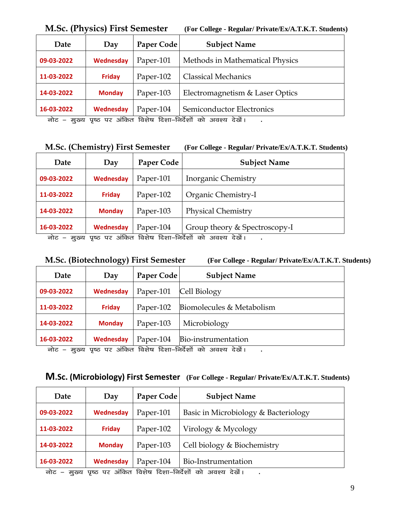| 1,1.0 C. (1 H) 91C9   1 H9C 9 CHROICH |               |            | $(1 \text{ or } \text{conv}_{\mathbf{S}})$ we may have the half have been been to |
|---------------------------------------|---------------|------------|-----------------------------------------------------------------------------------|
| Date                                  | Day           | Paper Code | <b>Subject Name</b>                                                               |
| 09-03-2022                            | Wednesday     | Paper-101  | Methods in Mathematical Physics                                                   |
| 11-03-2022                            | <b>Friday</b> | Paper-102  | <b>Classical Mechanics</b>                                                        |
| 14-03-2022                            | <b>Monday</b> | Paper-103  | Electromagnetism & Laser Optics                                                   |
| 16-03-2022                            | Wednesday     | Paper-104  | Semiconductor Electronics                                                         |

**M.Sc. (Physics) First Semester (For College - Regular/ Private/Ex/A.T.K.T. Students)**

aोट – मुख्य पृष्ठ पर अंकित विशेष दिशा–निर्देशों को अवश्य देखें। .

**M.Sc. (Chemistry) First Semester (For College - Regular/ Private/Ex/A.T.K.T. Students)**

| Date       | Day           | Paper Code | <b>Subject Name</b>                                                                                                                                                                                                                                                                                                    |
|------------|---------------|------------|------------------------------------------------------------------------------------------------------------------------------------------------------------------------------------------------------------------------------------------------------------------------------------------------------------------------|
| 09-03-2022 | Wednesday     | Paper-101  | Inorganic Chemistry                                                                                                                                                                                                                                                                                                    |
| 11-03-2022 | <b>Friday</b> | Paper-102  | Organic Chemistry-I                                                                                                                                                                                                                                                                                                    |
| 14-03-2022 | <b>Monday</b> | Paper-103  | <b>Physical Chemistry</b>                                                                                                                                                                                                                                                                                              |
| 16-03-2022 | Wednesday     | Paper-104  | Group theory & Spectroscopy-I<br>$\frac{1}{100}$ and $\frac{1}{100}$ and $\frac{1}{100}$ and $\frac{1}{100}$ and $\frac{1}{100}$ and $\frac{1}{100}$ and $\frac{1}{100}$ and $\frac{1}{100}$ and $\frac{1}{100}$ and $\frac{1}{100}$ and $\frac{1}{100}$ and $\frac{1}{100}$ and $\frac{1}{100}$ and $\frac{1}{100}$ a |

नोट – मुख्य पृष्ठ पर अंकित विशेष दिशा–निर्देशों को अवश्य देखें। .

**M.Sc. (Biotechnology) First Semester (For College - Regular/ Private/Ex/A.T.K.T. Students)**

| Date                                                                                                                                                                                                                                                                                                                                  | Day           | Paper Code | <b>Subject Name</b>       |
|---------------------------------------------------------------------------------------------------------------------------------------------------------------------------------------------------------------------------------------------------------------------------------------------------------------------------------------|---------------|------------|---------------------------|
| 09-03-2022                                                                                                                                                                                                                                                                                                                            | Wednesday     | Paper-101  | Cell Biology              |
| 11-03-2022                                                                                                                                                                                                                                                                                                                            | <b>Friday</b> | Paper-102  | Biomolecules & Metabolism |
| 14-03-2022                                                                                                                                                                                                                                                                                                                            | <b>Monday</b> | Paper-103  | Microbiology              |
| 16-03-2022                                                                                                                                                                                                                                                                                                                            | Wednesday     | Paper-104  | Bio-instrumentation       |
| $\frac{1}{10}$ and $\frac{1}{10}$ and $\frac{1}{10}$ and $\frac{1}{10}$ and $\frac{1}{10}$ and $\frac{1}{10}$ and $\frac{1}{10}$ and $\frac{1}{10}$ and $\frac{1}{10}$ and $\frac{1}{10}$ and $\frac{1}{10}$ and $\frac{1}{10}$ and $\frac{1}{10}$ and $\frac{1}{10}$ and $\frac{1}{10}$<br>$\rightarrow$<br>$\overline{\phantom{a}}$ |               |            |                           |

नोट – मुख्य पृष्ठ पर अंकित विशेष दिशा–निर्देशों को अवश्य देखें। **.** 

| Date       | Day                 | Paper Code                 | <b>Subject Name</b>                  |
|------------|---------------------|----------------------------|--------------------------------------|
| 09-03-2022 | <b>Wednesday</b>    | Paper-101                  | Basic in Microbiology & Bacteriology |
| 11-03-2022 | <b>Friday</b>       | Paper-102                  | Virology & Mycology                  |
| 14-03-2022 | <b>Monday</b>       | Paper-103                  | Cell biology & Biochemistry          |
| 16-03-2022 | Wednesday<br>$\sim$ | Paper-104<br>$\sim$ $\sim$ | Bio-Instrumentation                  |

नोट – मुख्य पृष्ठ पर अंकित विशेष दिशा–निर्देशों को अवश्य देखें। .